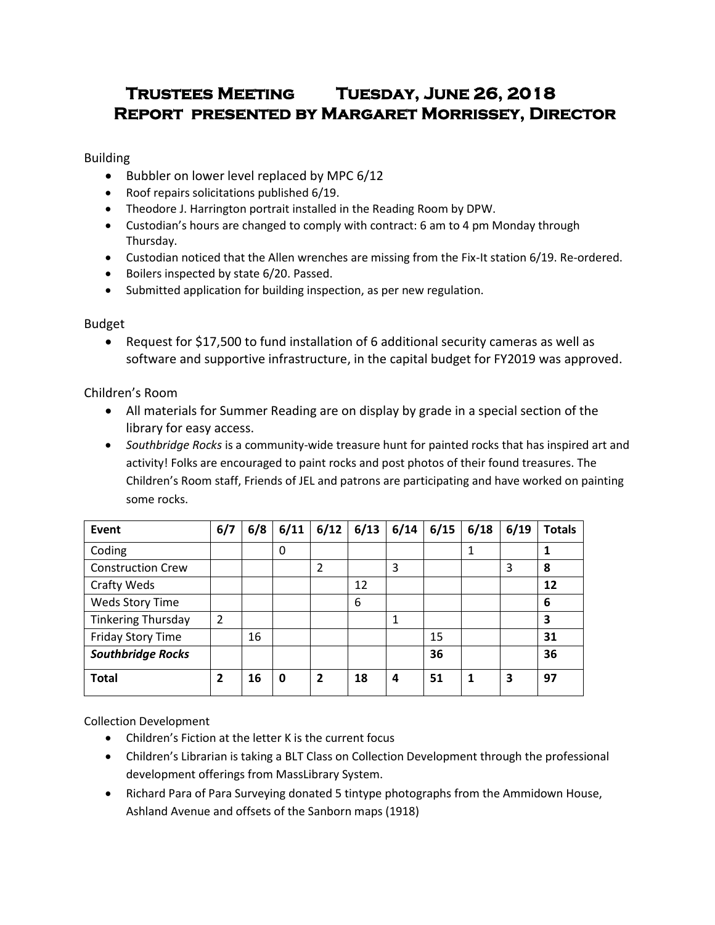# **Trustees Meeting Tuesday, June 26, 2018 Report presented by Margaret Morrissey, Director**

Building

- $\bullet$  Bubbler on lower level replaced by MPC 6/12
- Roof repairs solicitations published 6/19.
- Theodore J. Harrington portrait installed in the Reading Room by DPW.
- Custodian's hours are changed to comply with contract: 6 am to 4 pm Monday through Thursday.
- Custodian noticed that the Allen wrenches are missing from the Fix-It station 6/19. Re-ordered.
- Boilers inspected by state 6/20. Passed.
- Submitted application for building inspection, as per new regulation.

## Budget

 Request for \$17,500 to fund installation of 6 additional security cameras as well as software and supportive infrastructure, in the capital budget for FY2019 was approved.

## Children's Room

- All materials for Summer Reading are on display by grade in a special section of the library for easy access.
- *Southbridge Rocks* is a community-wide treasure hunt for painted rocks that has inspired art and activity! Folks are encouraged to paint rocks and post photos of their found treasures. The Children's Room staff, Friends of JEL and patrons are participating and have worked on painting some rocks.

| Event                     | 6/7 | 6/8 | 6/11 | 6/12         | 6/13 | 6/14 | 6/15 | 6/18 | 6/19 | <b>Totals</b> |
|---------------------------|-----|-----|------|--------------|------|------|------|------|------|---------------|
| Coding                    |     |     | 0    |              |      |      |      |      |      |               |
| <b>Construction Crew</b>  |     |     |      | 2            |      | 3    |      |      | 3    | 8             |
| Crafty Weds               |     |     |      |              | 12   |      |      |      |      | 12            |
| <b>Weds Story Time</b>    |     |     |      |              | 6    |      |      |      |      | 6             |
| <b>Tinkering Thursday</b> | 2   |     |      |              |      | 1    |      |      |      | 3             |
| Friday Story Time         |     | 16  |      |              |      |      | 15   |      |      | 31            |
| <b>Southbridge Rocks</b>  |     |     |      |              |      |      | 36   |      |      | 36            |
| <b>Total</b>              | 2   | 16  | 0    | $\mathbf{2}$ | 18   | 4    | 51   | 1    | 3    | 97            |

Collection Development

- Children's Fiction at the letter K is the current focus
- Children's Librarian is taking a BLT Class on Collection Development through the professional development offerings from MassLibrary System.
- Richard Para of Para Surveying donated 5 tintype photographs from the Ammidown House, Ashland Avenue and offsets of the Sanborn maps (1918)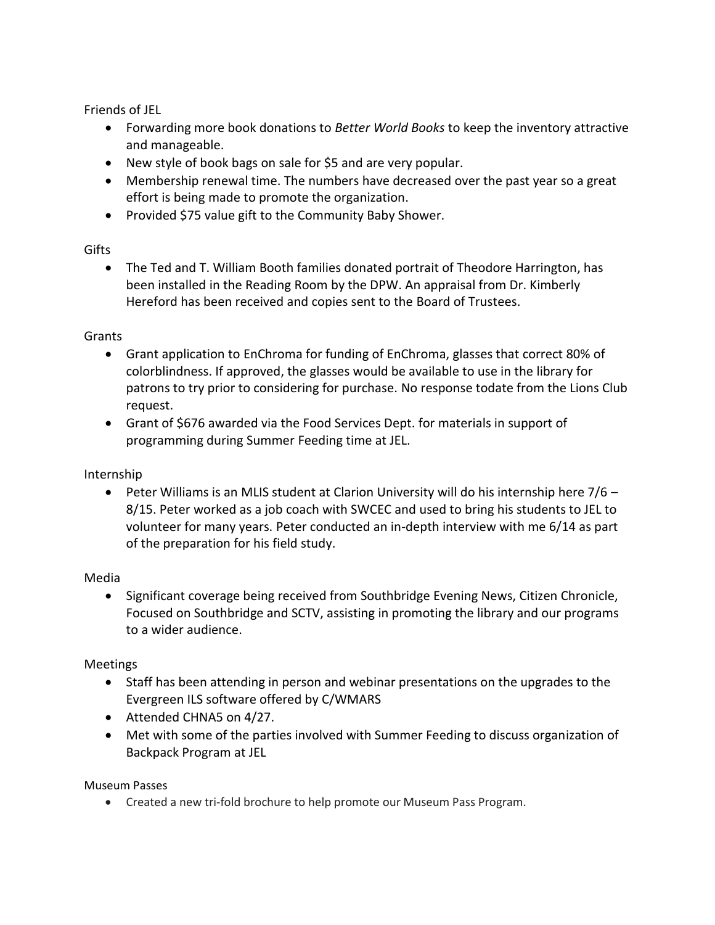Friends of JEL

- Forwarding more book donations to *Better World Books* to keep the inventory attractive and manageable.
- New style of book bags on sale for \$5 and are very popular.
- Membership renewal time. The numbers have decreased over the past year so a great effort is being made to promote the organization.
- Provided \$75 value gift to the Community Baby Shower.

## Gifts

 The Ted and T. William Booth families donated portrait of Theodore Harrington, has been installed in the Reading Room by the DPW. An appraisal from Dr. Kimberly Hereford has been received and copies sent to the Board of Trustees.

## Grants

- Grant application to EnChroma for funding of EnChroma, glasses that correct 80% of colorblindness. If approved, the glasses would be available to use in the library for patrons to try prior to considering for purchase. No response todate from the Lions Club request.
- Grant of \$676 awarded via the Food Services Dept. for materials in support of programming during Summer Feeding time at JEL.

# Internship

**•** Peter Williams is an MLIS student at Clarion University will do his internship here  $7/6$  – 8/15. Peter worked as a job coach with SWCEC and used to bring his students to JEL to volunteer for many years. Peter conducted an in-depth interview with me 6/14 as part of the preparation for his field study.

## Media

• Significant coverage being received from Southbridge Evening News, Citizen Chronicle, Focused on Southbridge and SCTV, assisting in promoting the library and our programs to a wider audience.

# Meetings

- Staff has been attending in person and webinar presentations on the upgrades to the Evergreen ILS software offered by C/WMARS
- Attended CHNA5 on 4/27.
- Met with some of the parties involved with Summer Feeding to discuss organization of Backpack Program at JEL

## Museum Passes

Created a new tri-fold brochure to help promote our Museum Pass Program.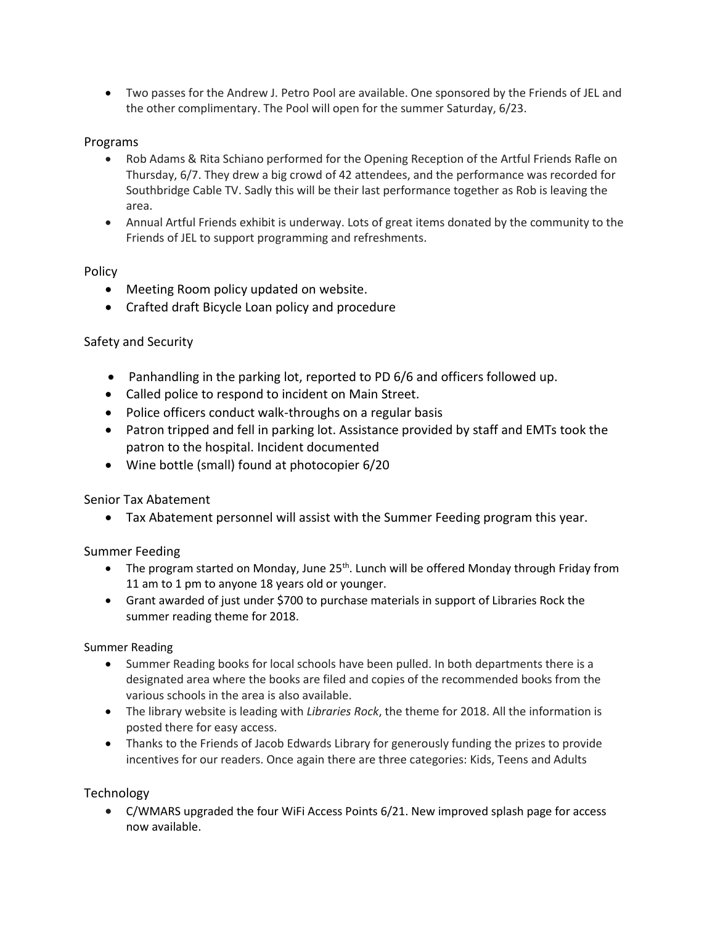Two passes for the Andrew J. Petro Pool are available. One sponsored by the Friends of JEL and the other complimentary. The Pool will open for the summer Saturday, 6/23.

## Programs

- Rob Adams & Rita Schiano performed for the Opening Reception of the Artful Friends Rafle on Thursday, 6/7. They drew a big crowd of 42 attendees, and the performance was recorded for Southbridge Cable TV. Sadly this will be their last performance together as Rob is leaving the area.
- Annual Artful Friends exhibit is underway. Lots of great items donated by the community to the Friends of JEL to support programming and refreshments.

#### Policy

- Meeting Room policy updated on website.
- Crafted draft Bicycle Loan policy and procedure

## Safety and Security

- Panhandling in the parking lot, reported to PD 6/6 and officers followed up.
- Called police to respond to incident on Main Street.
- Police officers conduct walk-throughs on a regular basis
- Patron tripped and fell in parking lot. Assistance provided by staff and EMTs took the patron to the hospital. Incident documented
- Wine bottle (small) found at photocopier 6/20

## Senior Tax Abatement

Tax Abatement personnel will assist with the Summer Feeding program this year.

Summer Feeding

- The program started on Monday, June  $25<sup>th</sup>$ . Lunch will be offered Monday through Friday from 11 am to 1 pm to anyone 18 years old or younger.
- Grant awarded of just under \$700 to purchase materials in support of Libraries Rock the summer reading theme for 2018.

#### Summer Reading

- Summer Reading books for local schools have been pulled. In both departments there is a designated area where the books are filed and copies of the recommended books from the various schools in the area is also available.
- The library website is leading with *Libraries Rock*, the theme for 2018. All the information is posted there for easy access.
- Thanks to the Friends of Jacob Edwards Library for generously funding the prizes to provide incentives for our readers. Once again there are three categories: Kids, Teens and Adults

Technology

 C/WMARS upgraded the four WiFi Access Points 6/21. New improved splash page for access now available.